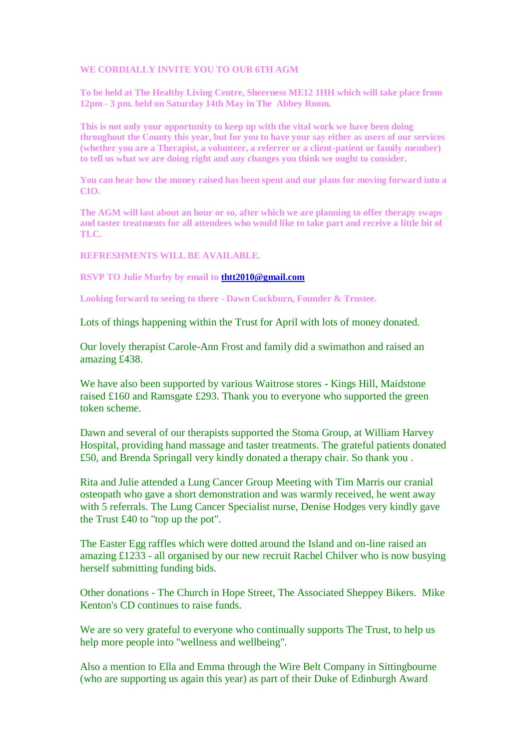## **WE CORDIALLY INVITE YOU TO OUR 6TH AGM**

**To be held at The Healthy Living Centre, Sheerness ME12 1HH which will take place from 12pm - 3 pm. held on Saturday 14th May in The Abbey Room.**

**This is not only your opportunity to keep up with the vital work we have been doing throughout the County this year, but for you to have your say either as users of our services (whether you are a Therapist, a volunteer, a referrer or a client-patient or family member) to tell us what we are doing right and any changes you think we ought to consider.**

**You can hear how the money raised has been spent and our plans for moving forward into a CIO.**

**The AGM will last about an hour or so, after which we are planning to offer therapy swaps and taster treatments for all attendees who would like to take part and receive a little bit of TLC.**

**REFRESHMENTS WILL BE AVAILABLE.**

**RSVP TO Julie Murby by email to [thtt2010@gmail.com](mailto:thtt2010@gmail.com)**

**Looking forward to seeing to there - Dawn Cockburn, Founder & Trustee.** 

Lots of things happening within the Trust for April with lots of money donated.

Our lovely therapist Carole-Ann Frost and family did a swimathon and raised an amazing £438.

We have also been supported by various Waitrose stores - Kings Hill, Maidstone raised £160 and Ramsgate £293. Thank you to everyone who supported the green token scheme.

Dawn and several of our therapists supported the Stoma Group, at William Harvey Hospital, providing hand massage and taster treatments. The grateful patients donated £50, and Brenda Springall very kindly donated a therapy chair. So thank you .

Rita and Julie attended a Lung Cancer Group Meeting with Tim Marris our cranial osteopath who gave a short demonstration and was warmly received, he went away with 5 referrals. The Lung Cancer Specialist nurse, Denise Hodges very kindly gave the Trust £40 to "top up the pot".

The Easter Egg raffles which were dotted around the Island and on-line raised an amazing £1233 - all organised by our new recruit Rachel Chilver who is now busying herself submitting funding bids.

Other donations - The Church in Hope Street, The Associated Sheppey Bikers. Mike Kenton's CD continues to raise funds.

We are so very grateful to everyone who continually supports The Trust, to help us help more people into "wellness and wellbeing".

Also a mention to Ella and Emma through the Wire Belt Company in Sittingbourne (who are supporting us again this year) as part of their Duke of Edinburgh Award